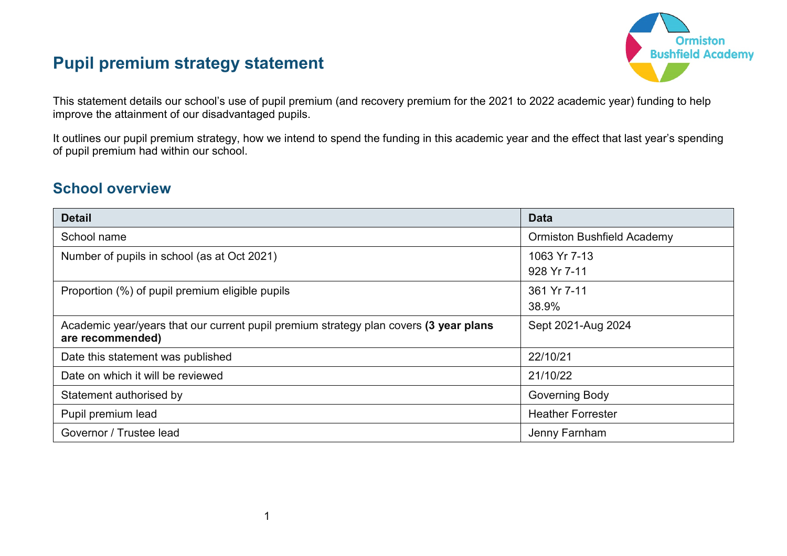# **Pupil premium strategy statement**



This statement details our school's use of pupil premium (and recovery premium for the 2021 to 2022 academic year) funding to help improve the attainment of our disadvantaged pupils.

It outlines our pupil premium strategy, how we intend to spend the funding in this academic year and the effect that last year's spending of pupil premium had within our school.

## **School overview**

| <b>Detail</b>                                                                                             | <b>Data</b>                       |
|-----------------------------------------------------------------------------------------------------------|-----------------------------------|
| School name                                                                                               | <b>Ormiston Bushfield Academy</b> |
| Number of pupils in school (as at Oct 2021)                                                               | 1063 Yr 7-13<br>928 Yr 7-11       |
| Proportion (%) of pupil premium eligible pupils                                                           | 361 Yr 7-11<br>38.9%              |
| Academic year/years that our current pupil premium strategy plan covers (3 year plans<br>are recommended) | Sept 2021-Aug 2024                |
| Date this statement was published                                                                         | 22/10/21                          |
| Date on which it will be reviewed                                                                         | 21/10/22                          |
| Statement authorised by                                                                                   | <b>Governing Body</b>             |
| Pupil premium lead                                                                                        | <b>Heather Forrester</b>          |
| Governor / Trustee lead                                                                                   | Jenny Farnham                     |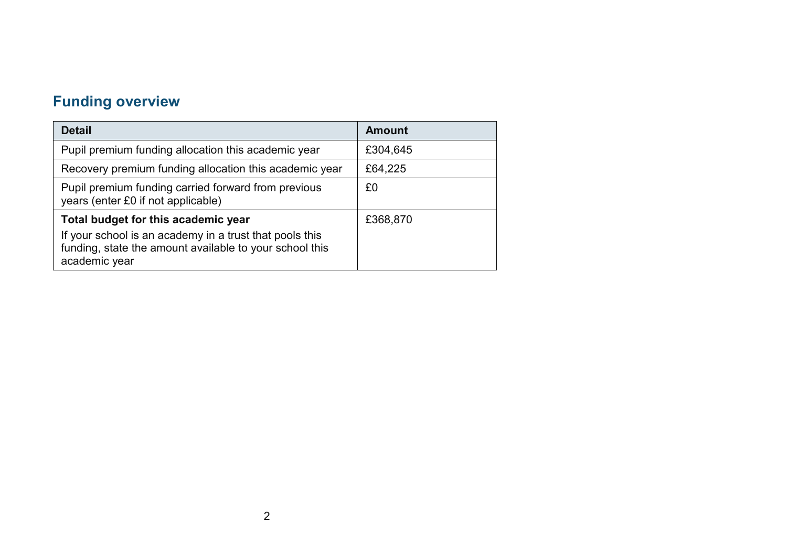# **Funding overview**

| <b>Detail</b>                                                                                                                                                              | <b>Amount</b> |
|----------------------------------------------------------------------------------------------------------------------------------------------------------------------------|---------------|
| Pupil premium funding allocation this academic year                                                                                                                        | £304,645      |
| Recovery premium funding allocation this academic year                                                                                                                     | £64,225       |
| Pupil premium funding carried forward from previous<br>years (enter £0 if not applicable)                                                                                  | £0            |
| Total budget for this academic year<br>If your school is an academy in a trust that pools this<br>funding, state the amount available to your school this<br>academic year | £368,870      |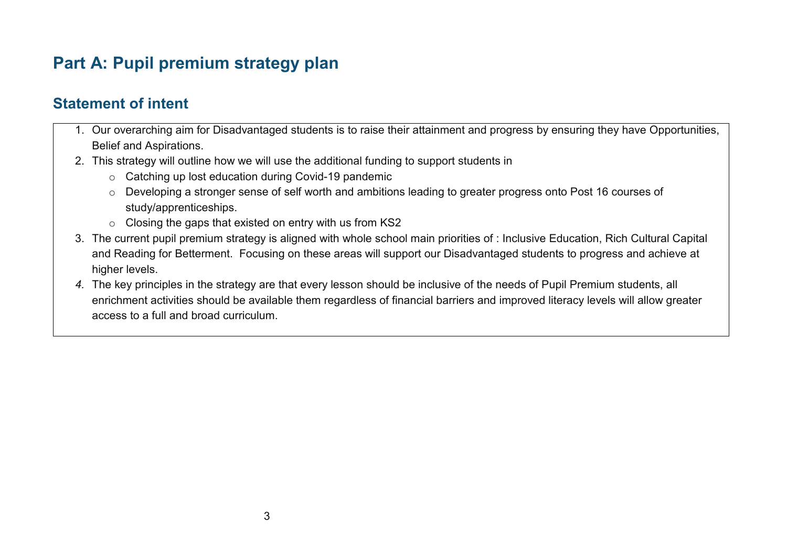# **Part A: Pupil premium strategy plan**

# **Statement of intent**

- 1. Our overarching aim for Disadvantaged students is to raise their attainment and progress by ensuring they have Opportunities, Belief and Aspirations.
- 2. This strategy will outline how we will use the additional funding to support students in
	- o Catching up lost education during Covid-19 pandemic
	- o Developing a stronger sense of self worth and ambitions leading to greater progress onto Post 16 courses of study/apprenticeships.
	- o Closing the gaps that existed on entry with us from KS2
- 3. The current pupil premium strategy is aligned with whole school main priorities of : Inclusive Education, Rich Cultural Capital and Reading for Betterment. Focusing on these areas will support our Disadvantaged students to progress and achieve at higher levels.
- *4.* The key principles in the strategy are that every lesson should be inclusive of the needs of Pupil Premium students, all enrichment activities should be available them regardless of financial barriers and improved literacy levels will allow greater access to a full and broad curriculum.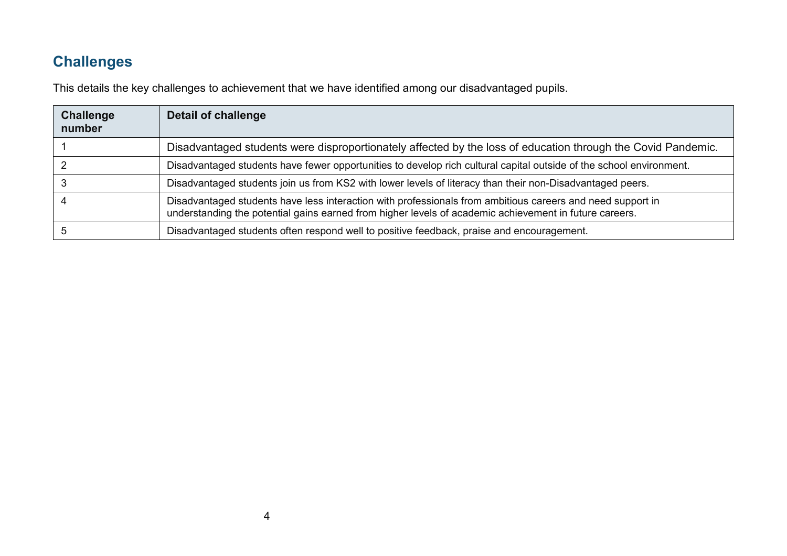# **Challenges**

This details the key challenges to achievement that we have identified among our disadvantaged pupils.

| <b>Challenge</b><br>number | <b>Detail of challenge</b>                                                                                                                                                                                           |
|----------------------------|----------------------------------------------------------------------------------------------------------------------------------------------------------------------------------------------------------------------|
|                            | Disadvantaged students were disproportionately affected by the loss of education through the Covid Pandemic.                                                                                                         |
|                            | Disadvantaged students have fewer opportunities to develop rich cultural capital outside of the school environment.                                                                                                  |
|                            | Disadvantaged students join us from KS2 with lower levels of literacy than their non-Disadvantaged peers.                                                                                                            |
|                            | Disadvantaged students have less interaction with professionals from ambitious careers and need support in<br>understanding the potential gains earned from higher levels of academic achievement in future careers. |
|                            | Disadvantaged students often respond well to positive feedback, praise and encouragement.                                                                                                                            |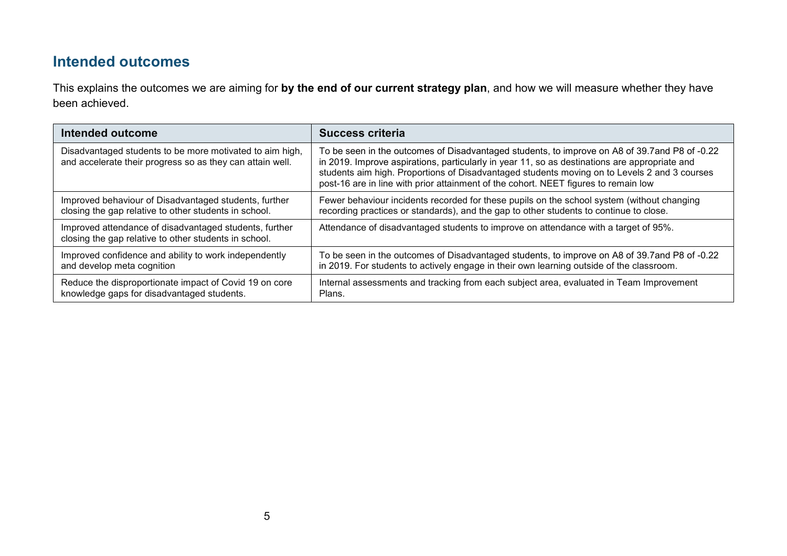## **Intended outcomes**

This explains the outcomes we are aiming for **by the end of our current strategy plan**, and how we will measure whether they have been achieved.

| Intended outcome                                                                                                      | <b>Success criteria</b>                                                                                                                                                                                                                                                                                                                                                                |
|-----------------------------------------------------------------------------------------------------------------------|----------------------------------------------------------------------------------------------------------------------------------------------------------------------------------------------------------------------------------------------------------------------------------------------------------------------------------------------------------------------------------------|
| Disadvantaged students to be more motivated to aim high,<br>and accelerate their progress so as they can attain well. | To be seen in the outcomes of Disadvantaged students, to improve on A8 of 39.7 and P8 of -0.22<br>in 2019. Improve aspirations, particularly in year 11, so as destinations are appropriate and<br>students aim high. Proportions of Disadvantaged students moving on to Levels 2 and 3 courses<br>post-16 are in line with prior attainment of the cohort. NEET figures to remain low |
| Improved behaviour of Disadvantaged students, further                                                                 | Fewer behaviour incidents recorded for these pupils on the school system (without changing                                                                                                                                                                                                                                                                                             |
| closing the gap relative to other students in school.                                                                 | recording practices or standards), and the gap to other students to continue to close.                                                                                                                                                                                                                                                                                                 |
| Improved attendance of disadvantaged students, further<br>closing the gap relative to other students in school.       | Attendance of disadvantaged students to improve on attendance with a target of 95%.                                                                                                                                                                                                                                                                                                    |
| Improved confidence and ability to work independently                                                                 | To be seen in the outcomes of Disadvantaged students, to improve on A8 of 39.7 and P8 of -0.22                                                                                                                                                                                                                                                                                         |
| and develop meta cognition                                                                                            | in 2019. For students to actively engage in their own learning outside of the classroom.                                                                                                                                                                                                                                                                                               |
| Reduce the disproportionate impact of Covid 19 on core                                                                | Internal assessments and tracking from each subject area, evaluated in Team Improvement                                                                                                                                                                                                                                                                                                |
| knowledge gaps for disadvantaged students.                                                                            | Plans.                                                                                                                                                                                                                                                                                                                                                                                 |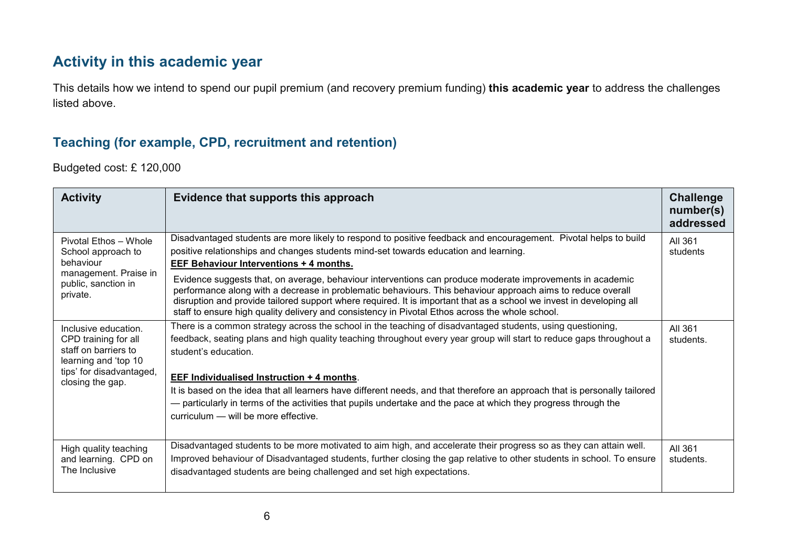## **Activity in this academic year**

This details how we intend to spend our pupil premium (and recovery premium funding) **this academic year** to address the challenges listed above.

#### **Teaching (for example, CPD, recruitment and retention)**

Budgeted cost: £ 120,000

| <b>Activity</b>                                                                                                          | Evidence that supports this approach                                                                                                                                                                                                                                                                                                                                                                                                                | Challenge<br>number(s)<br>addressed |
|--------------------------------------------------------------------------------------------------------------------------|-----------------------------------------------------------------------------------------------------------------------------------------------------------------------------------------------------------------------------------------------------------------------------------------------------------------------------------------------------------------------------------------------------------------------------------------------------|-------------------------------------|
| Pivotal Ethos - Whole<br>School approach to<br>behaviour<br>management. Praise in<br>public, sanction in<br>private.     | Disadvantaged students are more likely to respond to positive feedback and encouragement. Pivotal helps to build<br>positive relationships and changes students mind-set towards education and learning.<br><b>EEF Behaviour Interventions + 4 months.</b>                                                                                                                                                                                          | All 361<br>students                 |
|                                                                                                                          | Evidence suggests that, on average, behaviour interventions can produce moderate improvements in academic<br>performance along with a decrease in problematic behaviours. This behaviour approach aims to reduce overall<br>disruption and provide tailored support where required. It is important that as a school we invest in developing all<br>staff to ensure high quality delivery and consistency in Pivotal Ethos across the whole school. |                                     |
| Inclusive education.<br>CPD training for all<br>staff on barriers to<br>learning and 'top 10<br>tips' for disadvantaged, | There is a common strategy across the school in the teaching of disadvantaged students, using questioning,<br>feedback, seating plans and high quality teaching throughout every year group will start to reduce gaps throughout a<br>student's education.                                                                                                                                                                                          | All 361<br>students.                |
| closing the gap.                                                                                                         | EEF Individualised Instruction + 4 months.<br>It is based on the idea that all learners have different needs, and that therefore an approach that is personally tailored<br>- particularly in terms of the activities that pupils undertake and the pace at which they progress through the<br>curriculum - will be more effective.                                                                                                                 |                                     |
| High quality teaching<br>and learning. CPD on<br>The Inclusive                                                           | Disadvantaged students to be more motivated to aim high, and accelerate their progress so as they can attain well.<br>Improved behaviour of Disadvantaged students, further closing the gap relative to other students in school. To ensure<br>disadvantaged students are being challenged and set high expectations.                                                                                                                               | All 361<br>students.                |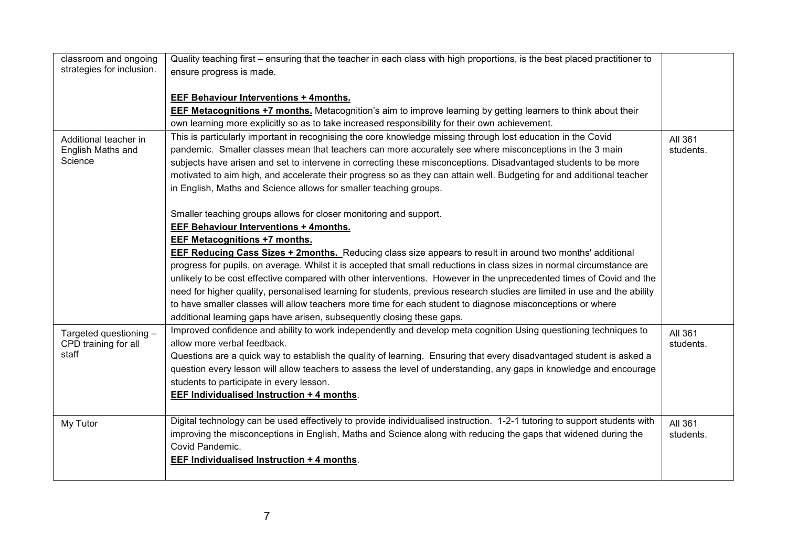| classroom and ongoing     | Quality teaching first – ensuring that the teacher in each class with high proportions, is the best placed practitioner to |           |
|---------------------------|----------------------------------------------------------------------------------------------------------------------------|-----------|
| strategies for inclusion. | ensure progress is made.                                                                                                   |           |
|                           |                                                                                                                            |           |
|                           | <b>EEF Behaviour Interventions + 4months.</b>                                                                              |           |
|                           | EEF Metacognitions +7 months. Metacognition's aim to improve learning by getting learners to think about their             |           |
|                           | own learning more explicitly so as to take increased responsibility for their own achievement.                             |           |
| Additional teacher in     | This is particularly important in recognising the core knowledge missing through lost education in the Covid               | All 361   |
| English Maths and         | pandemic. Smaller classes mean that teachers can more accurately see where misconceptions in the 3 main                    | students. |
| Science                   | subjects have arisen and set to intervene in correcting these misconceptions. Disadvantaged students to be more            |           |
|                           | motivated to aim high, and accelerate their progress so as they can attain well. Budgeting for and additional teacher      |           |
|                           | in English, Maths and Science allows for smaller teaching groups.                                                          |           |
|                           |                                                                                                                            |           |
|                           | Smaller teaching groups allows for closer monitoring and support.                                                          |           |
|                           | <b>EEF Behaviour Interventions + 4months.</b>                                                                              |           |
|                           | EEF Metacognitions +7 months.                                                                                              |           |
|                           | <b>EEF Reducing Cass Sizes + 2months.</b> Reducing class size appears to result in around two months' additional           |           |
|                           | progress for pupils, on average. Whilst it is accepted that small reductions in class sizes in normal circumstance are     |           |
|                           | unlikely to be cost effective compared with other interventions. However in the unprecedented times of Covid and the       |           |
|                           | need for higher quality, personalised learning for students, previous research studies are limited in use and the ability  |           |
|                           | to have smaller classes will allow teachers more time for each student to diagnose misconceptions or where                 |           |
|                           | additional learning gaps have arisen, subsequently closing these gaps.                                                     |           |
| Targeted questioning -    | Improved confidence and ability to work independently and develop meta cognition Using questioning techniques to           | All 361   |
| CPD training for all      | allow more verbal feedback.                                                                                                | students. |
| staff                     | Questions are a quick way to establish the quality of learning. Ensuring that every disadvantaged student is asked a       |           |
|                           | question every lesson will allow teachers to assess the level of understanding, any gaps in knowledge and encourage        |           |
|                           | students to participate in every lesson.                                                                                   |           |
|                           | <b>EEF Individualised Instruction + 4 months.</b>                                                                          |           |
|                           |                                                                                                                            |           |
| My Tutor                  | Digital technology can be used effectively to provide individualised instruction. 1-2-1 tutoring to support students with  | All 361   |
|                           | improving the misconceptions in English, Maths and Science along with reducing the gaps that widened during the            | students. |
|                           | Covid Pandemic.                                                                                                            |           |
|                           | <b>EEF Individualised Instruction + 4 months.</b>                                                                          |           |
|                           |                                                                                                                            |           |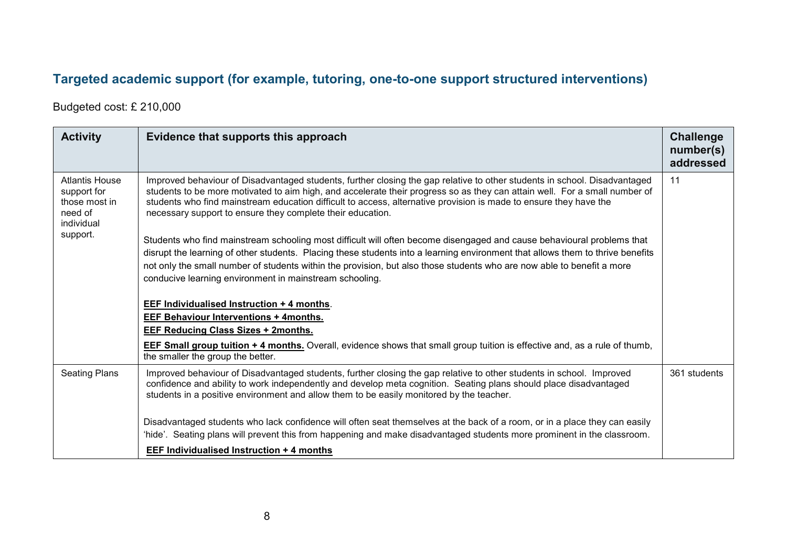## **Targeted academic support (for example, tutoring, one-to-one support structured interventions)**

Budgeted cost: £ 210,000

| <b>Activity</b>                                                                            | Evidence that supports this approach                                                                                                                                                                                                                                                                                                                                                                                                          | <b>Challenge</b><br>number(s)<br>addressed |
|--------------------------------------------------------------------------------------------|-----------------------------------------------------------------------------------------------------------------------------------------------------------------------------------------------------------------------------------------------------------------------------------------------------------------------------------------------------------------------------------------------------------------------------------------------|--------------------------------------------|
| <b>Atlantis House</b><br>support for<br>those most in<br>need of<br>individual<br>support. | Improved behaviour of Disadvantaged students, further closing the gap relative to other students in school. Disadvantaged<br>students to be more motivated to aim high, and accelerate their progress so as they can attain well. For a small number of<br>students who find mainstream education difficult to access, alternative provision is made to ensure they have the<br>necessary support to ensure they complete their education.    | 11                                         |
|                                                                                            | Students who find mainstream schooling most difficult will often become disengaged and cause behavioural problems that<br>disrupt the learning of other students. Placing these students into a learning environment that allows them to thrive benefits<br>not only the small number of students within the provision, but also those students who are now able to benefit a more<br>conducive learning environment in mainstream schooling. |                                            |
|                                                                                            | <b>EEF Individualised Instruction + 4 months.</b><br><b>EEF Behaviour Interventions + 4months.</b><br>EEF Reducing Class Sizes + 2months.                                                                                                                                                                                                                                                                                                     |                                            |
|                                                                                            | <b>EEF Small group tuition + 4 months.</b> Overall, evidence shows that small group tuition is effective and, as a rule of thumb,<br>the smaller the group the better.                                                                                                                                                                                                                                                                        |                                            |
| <b>Seating Plans</b>                                                                       | Improved behaviour of Disadvantaged students, further closing the gap relative to other students in school. Improved<br>confidence and ability to work independently and develop meta cognition. Seating plans should place disadvantaged<br>students in a positive environment and allow them to be easily monitored by the teacher.                                                                                                         | 361 students                               |
|                                                                                            | Disadvantaged students who lack confidence will often seat themselves at the back of a room, or in a place they can easily<br>'hide'. Seating plans will prevent this from happening and make disadvantaged students more prominent in the classroom.                                                                                                                                                                                         |                                            |
|                                                                                            | EEF Individualised Instruction + 4 months                                                                                                                                                                                                                                                                                                                                                                                                     |                                            |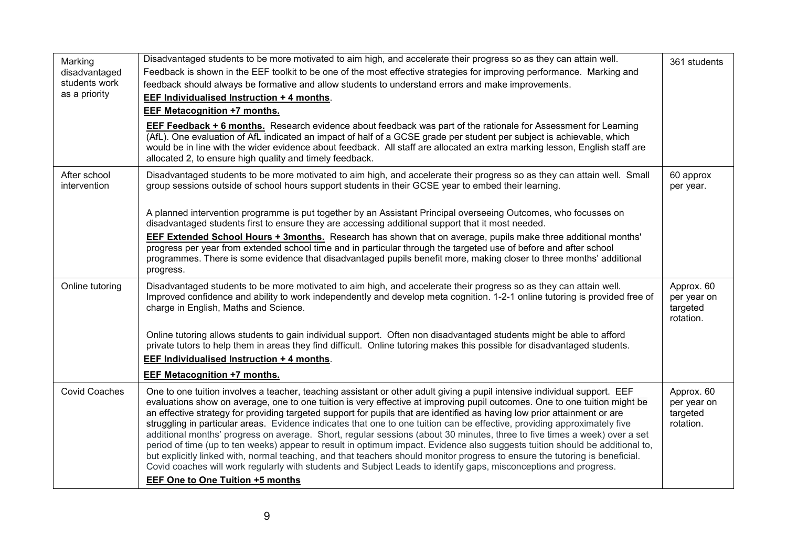| Marking<br>disadvantaged<br>students work<br>as a priority | Disadvantaged students to be more motivated to aim high, and accelerate their progress so as they can attain well.<br>Feedback is shown in the EEF toolkit to be one of the most effective strategies for improving performance. Marking and<br>feedback should always be formative and allow students to understand errors and make improvements.<br>EEF Individualised Instruction + 4 months.<br>EEF Metacognition +7 months.<br><b>EEF Feedback + 6 months.</b> Research evidence about feedback was part of the rationale for Assessment for Learning<br>(AfL). One evaluation of AfL indicated an impact of half of a GCSE grade per student per subject is achievable, which<br>would be in line with the wider evidence about feedback. All staff are allocated an extra marking lesson, English staff are<br>allocated 2, to ensure high quality and timely feedback.                                                                                                                                                                                                | 361 students                                       |
|------------------------------------------------------------|-------------------------------------------------------------------------------------------------------------------------------------------------------------------------------------------------------------------------------------------------------------------------------------------------------------------------------------------------------------------------------------------------------------------------------------------------------------------------------------------------------------------------------------------------------------------------------------------------------------------------------------------------------------------------------------------------------------------------------------------------------------------------------------------------------------------------------------------------------------------------------------------------------------------------------------------------------------------------------------------------------------------------------------------------------------------------------|----------------------------------------------------|
| After school<br>intervention                               | Disadvantaged students to be more motivated to aim high, and accelerate their progress so as they can attain well. Small<br>group sessions outside of school hours support students in their GCSE year to embed their learning.<br>A planned intervention programme is put together by an Assistant Principal overseeing Outcomes, who focusses on<br>disadvantaged students first to ensure they are accessing additional support that it most needed.<br><b>EEF Extended School Hours + 3months.</b> Research has shown that on average, pupils make three additional months'<br>progress per year from extended school time and in particular through the targeted use of before and after school<br>programmes. There is some evidence that disadvantaged pupils benefit more, making closer to three months' additional<br>progress.                                                                                                                                                                                                                                     | 60 approx<br>per year.                             |
| Online tutoring                                            | Disadvantaged students to be more motivated to aim high, and accelerate their progress so as they can attain well.<br>Improved confidence and ability to work independently and develop meta cognition. 1-2-1 online tutoring is provided free of<br>charge in English, Maths and Science.<br>Online tutoring allows students to gain individual support. Often non disadvantaged students might be able to afford<br>private tutors to help them in areas they find difficult. Online tutoring makes this possible for disadvantaged students.<br>EEF Individualised Instruction + 4 months.<br><b>EEF Metacognition +7 months.</b>                                                                                                                                                                                                                                                                                                                                                                                                                                          | Approx. 60<br>per year on<br>targeted<br>rotation. |
| <b>Covid Coaches</b>                                       | One to one tuition involves a teacher, teaching assistant or other adult giving a pupil intensive individual support. EEF<br>evaluations show on average, one to one tuition is very effective at improving pupil outcomes. One to one tuition might be<br>an effective strategy for providing targeted support for pupils that are identified as having low prior attainment or are<br>struggling in particular areas. Evidence indicates that one to one tuition can be effective, providing approximately five<br>additional months' progress on average. Short, regular sessions (about 30 minutes, three to five times a week) over a set<br>period of time (up to ten weeks) appear to result in optimum impact. Evidence also suggests tuition should be additional to,<br>but explicitly linked with, normal teaching, and that teachers should monitor progress to ensure the tutoring is beneficial.<br>Covid coaches will work regularly with students and Subject Leads to identify gaps, misconceptions and progress.<br><b>EEF One to One Tuition +5 months</b> | Approx. 60<br>per year on<br>targeted<br>rotation. |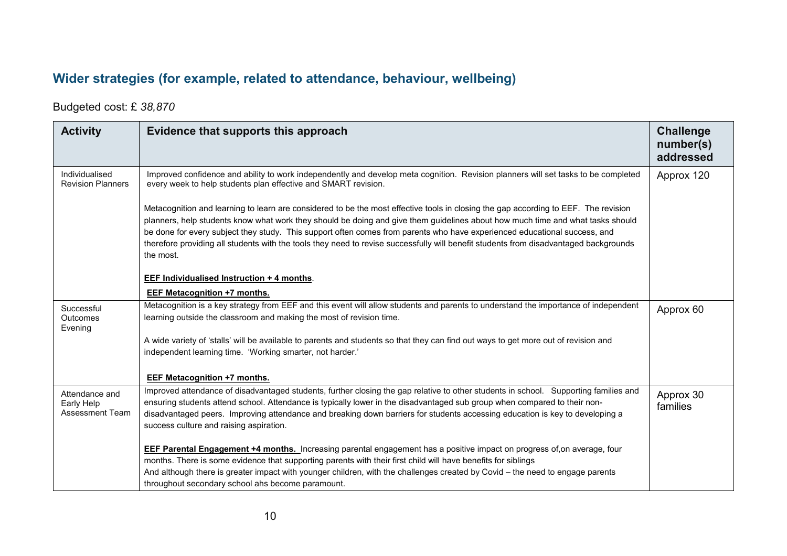# **Wider strategies (for example, related to attendance, behaviour, wellbeing)**

#### Budgeted cost: £ *38,870*

| <b>Activity</b>                                        | Evidence that supports this approach                                                                                                                                                                                                                                                                                                                                                                                                                                                                                                                     | <b>Challenge</b><br>number(s)<br>addressed |
|--------------------------------------------------------|----------------------------------------------------------------------------------------------------------------------------------------------------------------------------------------------------------------------------------------------------------------------------------------------------------------------------------------------------------------------------------------------------------------------------------------------------------------------------------------------------------------------------------------------------------|--------------------------------------------|
| Individualised<br><b>Revision Planners</b>             | Improved confidence and ability to work independently and develop meta cognition. Revision planners will set tasks to be completed<br>every week to help students plan effective and SMART revision.                                                                                                                                                                                                                                                                                                                                                     | Approx 120                                 |
|                                                        | Metacognition and learning to learn are considered to be the most effective tools in closing the gap according to EEF. The revision<br>planners, help students know what work they should be doing and give them guidelines about how much time and what tasks should<br>be done for every subject they study. This support often comes from parents who have experienced educational success, and<br>therefore providing all students with the tools they need to revise successfully will benefit students from disadvantaged backgrounds<br>the most. |                                            |
|                                                        | <b>EEF Individualised Instruction + 4 months.</b>                                                                                                                                                                                                                                                                                                                                                                                                                                                                                                        |                                            |
|                                                        | <b>EEF Metacognition +7 months.</b>                                                                                                                                                                                                                                                                                                                                                                                                                                                                                                                      |                                            |
| Successful<br><b>Outcomes</b><br>Evening               | Metacognition is a key strategy from EEF and this event will allow students and parents to understand the importance of independent<br>learning outside the classroom and making the most of revision time.                                                                                                                                                                                                                                                                                                                                              | Approx 60                                  |
|                                                        | A wide variety of 'stalls' will be available to parents and students so that they can find out ways to get more out of revision and<br>independent learning time. 'Working smarter, not harder.'                                                                                                                                                                                                                                                                                                                                                         |                                            |
|                                                        | EEF Metacognition +7 months.                                                                                                                                                                                                                                                                                                                                                                                                                                                                                                                             |                                            |
| Attendance and<br>Early Help<br><b>Assessment Team</b> | Improved attendance of disadvantaged students, further closing the gap relative to other students in school. Supporting families and<br>ensuring students attend school. Attendance is typically lower in the disadvantaged sub group when compared to their non-<br>disadvantaged peers. Improving attendance and breaking down barriers for students accessing education is key to developing a<br>success culture and raising aspiration.                                                                                                             | Approx 30<br>families                      |
|                                                        | <b>EEF Parental Engagement +4 months.</b> Increasing parental engagement has a positive impact on progress of, on average, four                                                                                                                                                                                                                                                                                                                                                                                                                          |                                            |
|                                                        | months. There is some evidence that supporting parents with their first child will have benefits for siblings                                                                                                                                                                                                                                                                                                                                                                                                                                            |                                            |
|                                                        | And although there is greater impact with younger children, with the challenges created by Covid – the need to engage parents<br>throughout secondary school ahs become paramount.                                                                                                                                                                                                                                                                                                                                                                       |                                            |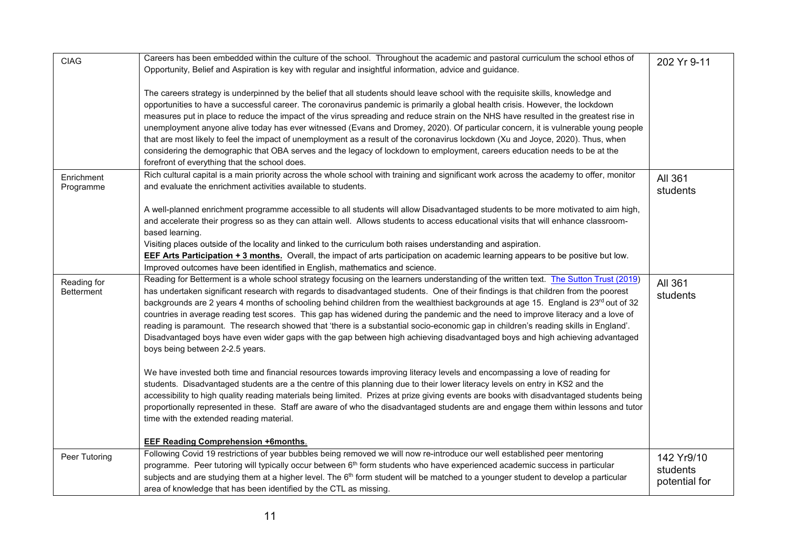| <b>CIAG</b>       | Careers has been embedded within the culture of the school. Throughout the academic and pastoral curriculum the school ethos of                 | 202 Yr 9-11   |
|-------------------|-------------------------------------------------------------------------------------------------------------------------------------------------|---------------|
|                   | Opportunity, Belief and Aspiration is key with regular and insightful information, advice and guidance.                                         |               |
|                   | The careers strategy is underpinned by the belief that all students should leave school with the requisite skills, knowledge and                |               |
|                   | opportunities to have a successful career. The coronavirus pandemic is primarily a global health crisis. However, the lockdown                  |               |
|                   | measures put in place to reduce the impact of the virus spreading and reduce strain on the NHS have resulted in the greatest rise in            |               |
|                   | unemployment anyone alive today has ever witnessed (Evans and Dromey, 2020). Of particular concern, it is vulnerable young people               |               |
|                   | that are most likely to feel the impact of unemployment as a result of the coronavirus lockdown (Xu and Joyce, 2020). Thus, when                |               |
|                   | considering the demographic that OBA serves and the legacy of lockdown to employment, careers education needs to be at the                      |               |
|                   | forefront of everything that the school does.                                                                                                   |               |
| Enrichment        | Rich cultural capital is a main priority across the whole school with training and significant work across the academy to offer, monitor        | All 361       |
| Programme         | and evaluate the enrichment activities available to students.                                                                                   | students      |
|                   |                                                                                                                                                 |               |
|                   | A well-planned enrichment programme accessible to all students will allow Disadvantaged students to be more motivated to aim high,              |               |
|                   | and accelerate their progress so as they can attain well. Allows students to access educational visits that will enhance classroom-             |               |
|                   | based learning.<br>Visiting places outside of the locality and linked to the curriculum both raises understanding and aspiration.               |               |
|                   | EEF Arts Participation + 3 months. Overall, the impact of arts participation on academic learning appears to be positive but low.               |               |
|                   | Improved outcomes have been identified in English, mathematics and science.                                                                     |               |
| Reading for       | Reading for Betterment is a whole school strategy focusing on the learners understanding of the written text. The Sutton Trust (2019)           | All 361       |
| <b>Betterment</b> | has undertaken significant research with regards to disadvantaged students. One of their findings is that children from the poorest             | students      |
|                   | backgrounds are 2 years 4 months of schooling behind children from the wealthiest backgrounds at age 15. England is 23 <sup>rd</sup> out of 32  |               |
|                   | countries in average reading test scores. This gap has widened during the pandemic and the need to improve literacy and a love of               |               |
|                   | reading is paramount. The research showed that 'there is a substantial socio-economic gap in children's reading skills in England'.             |               |
|                   | Disadvantaged boys have even wider gaps with the gap between high achieving disadvantaged boys and high achieving advantaged                    |               |
|                   | boys being between 2-2.5 years.                                                                                                                 |               |
|                   | We have invested both time and financial resources towards improving literacy levels and encompassing a love of reading for                     |               |
|                   | students. Disadvantaged students are a the centre of this planning due to their lower literacy levels on entry in KS2 and the                   |               |
|                   | accessibility to high quality reading materials being limited. Prizes at prize giving events are books with disadvantaged students being        |               |
|                   | proportionally represented in these. Staff are aware of who the disadvantaged students are and engage them within lessons and tutor             |               |
|                   | time with the extended reading material.                                                                                                        |               |
|                   |                                                                                                                                                 |               |
|                   | <b>EEF Reading Comprehension +6months.</b>                                                                                                      |               |
| Peer Tutoring     | Following Covid 19 restrictions of year bubbles being removed we will now re-introduce our well established peer mentoring                      | 142 Yr9/10    |
|                   | programme. Peer tutoring will typically occur between 6 <sup>th</sup> form students who have experienced academic success in particular         | students      |
|                   | subjects and are studying them at a higher level. The 6 <sup>th</sup> form student will be matched to a younger student to develop a particular | potential for |
|                   | area of knowledge that has been identified by the CTL as missing.                                                                               |               |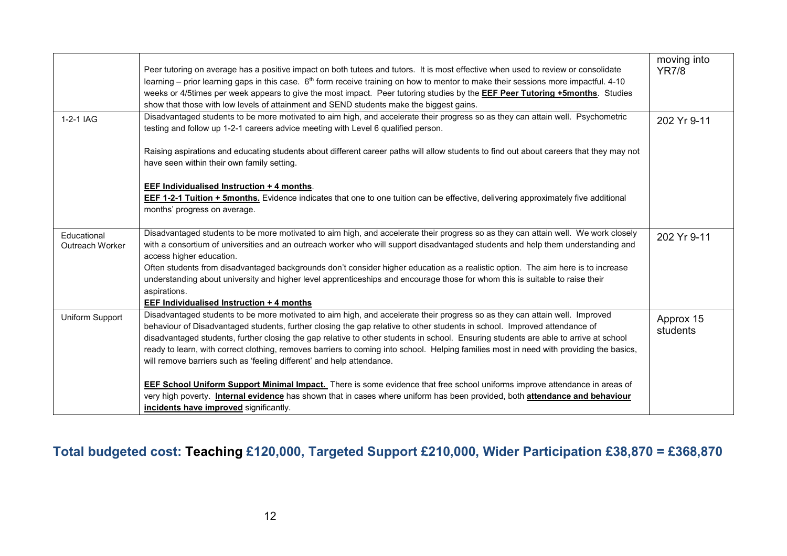|                                | Peer tutoring on average has a positive impact on both tutees and tutors. It is most effective when used to review or consolidate<br>learning – prior learning gaps in this case. 6 <sup>th</sup> form receive training on how to mentor to make their sessions more impactful. 4-10<br>weeks or 4/5times per week appears to give the most impact. Peer tutoring studies by the EEF Peer Tutoring +5months. Studies<br>show that those with low levels of attainment and SEND students make the biggest gains.                                                                                                                            | moving into<br><b>YR7/8</b> |
|--------------------------------|--------------------------------------------------------------------------------------------------------------------------------------------------------------------------------------------------------------------------------------------------------------------------------------------------------------------------------------------------------------------------------------------------------------------------------------------------------------------------------------------------------------------------------------------------------------------------------------------------------------------------------------------|-----------------------------|
| 1-2-1 IAG                      | Disadvantaged students to be more motivated to aim high, and accelerate their progress so as they can attain well. Psychometric<br>testing and follow up 1-2-1 careers advice meeting with Level 6 qualified person.                                                                                                                                                                                                                                                                                                                                                                                                                       | 202 Yr 9-11                 |
|                                | Raising aspirations and educating students about different career paths will allow students to find out about careers that they may not<br>have seen within their own family setting.                                                                                                                                                                                                                                                                                                                                                                                                                                                      |                             |
|                                | <b>EEF Individualised Instruction + 4 months.</b><br><b>EEF 1-2-1 Tuition + 5months.</b> Evidence indicates that one to one tuition can be effective, delivering approximately five additional<br>months' progress on average.                                                                                                                                                                                                                                                                                                                                                                                                             |                             |
| Educational<br>Outreach Worker | Disadvantaged students to be more motivated to aim high, and accelerate their progress so as they can attain well. We work closely<br>with a consortium of universities and an outreach worker who will support disadvantaged students and help them understanding and<br>access higher education.<br>Often students from disadvantaged backgrounds don't consider higher education as a realistic option. The aim here is to increase<br>understanding about university and higher level apprenticeships and encourage those for whom this is suitable to raise their<br>aspirations.<br><b>EEF Individualised Instruction + 4 months</b> | 202 Yr 9-11                 |
| Uniform Support                | Disadvantaged students to be more motivated to aim high, and accelerate their progress so as they can attain well. Improved<br>behaviour of Disadvantaged students, further closing the gap relative to other students in school. Improved attendance of<br>disadvantaged students, further closing the gap relative to other students in school. Ensuring students are able to arrive at school<br>ready to learn, with correct clothing, removes barriers to coming into school. Helping families most in need with providing the basics,<br>will remove barriers such as 'feeling different' and help attendance.                       | Approx 15<br>students       |
|                                | <b>EEF School Uniform Support Minimal Impact.</b> There is some evidence that free school uniforms improve attendance in areas of<br>very high poverty. Internal evidence has shown that in cases where uniform has been provided, both attendance and behaviour<br>incidents have improved significantly.                                                                                                                                                                                                                                                                                                                                 |                             |

# **Total budgeted cost: Teaching £120,000, Targeted Support £210,000, Wider Participation £38,870 = £368,870**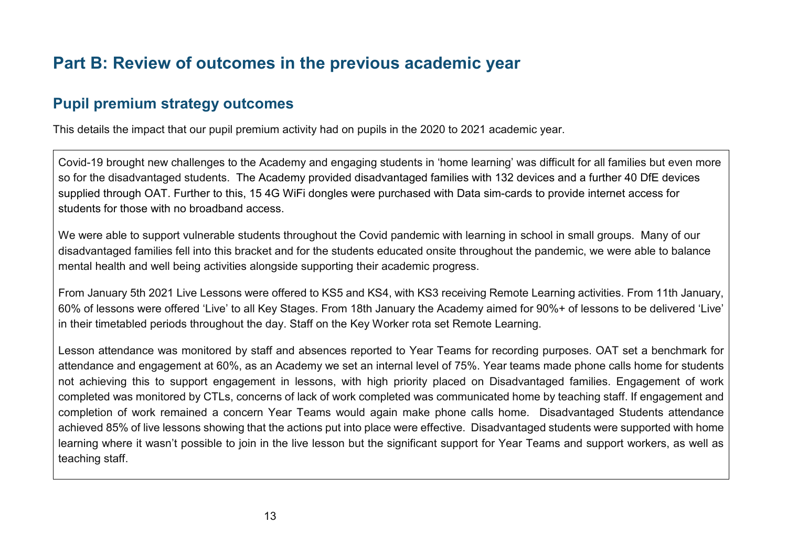# **Part B: Review of outcomes in the previous academic year**

## **Pupil premium strategy outcomes**

This details the impact that our pupil premium activity had on pupils in the 2020 to 2021 academic year.

Covid-19 brought new challenges to the Academy and engaging students in 'home learning' was difficult for all families but even more so for the disadvantaged students. The Academy provided disadvantaged families with 132 devices and a further 40 DfE devices supplied through OAT. Further to this, 15 4G WiFi dongles were purchased with Data sim-cards to provide internet access for students for those with no broadband access.

We were able to support vulnerable students throughout the Covid pandemic with learning in school in small groups. Many of our disadvantaged families fell into this bracket and for the students educated onsite throughout the pandemic, we were able to balance mental health and well being activities alongside supporting their academic progress.

From January 5th 2021 Live Lessons were offered to KS5 and KS4, with KS3 receiving Remote Learning activities. From 11th January, 60% of lessons were offered 'Live' to all Key Stages. From 18th January the Academy aimed for 90%+ of lessons to be delivered 'Live' in their timetabled periods throughout the day. Staff on the Key Worker rota set Remote Learning.

Lesson attendance was monitored by staff and absences reported to Year Teams for recording purposes. OAT set a benchmark for attendance and engagement at 60%, as an Academy we set an internal level of 75%. Year teams made phone calls home for students not achieving this to support engagement in lessons, with high priority placed on Disadvantaged families. Engagement of work completed was monitored by CTLs, concerns of lack of work completed was communicated home by teaching staff. If engagement and completion of work remained a concern Year Teams would again make phone calls home. Disadvantaged Students attendance achieved 85% of live lessons showing that the actions put into place were effective. Disadvantaged students were supported with home learning where it wasn't possible to join in the live lesson but the significant support for Year Teams and support workers, as well as teaching staff.